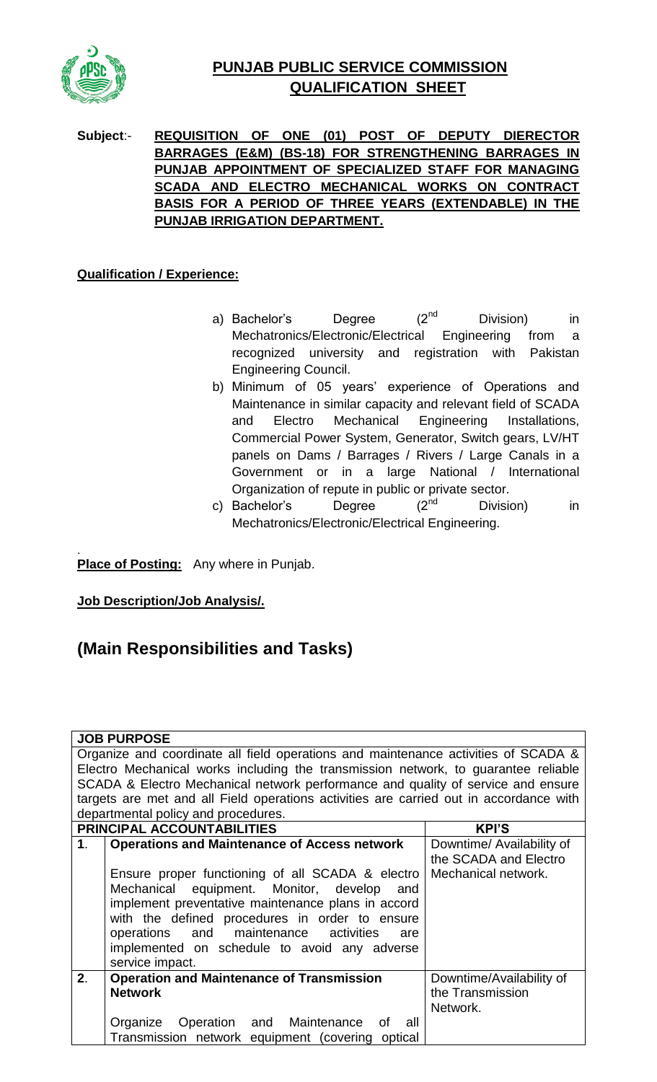

## **PUNJAB PUBLIC SERVICE COMMISSION QUALIFICATION SHEET**

**Subject**:- **REQUISITION OF ONE (01) POST OF DEPUTY DIERECTOR BARRAGES (E&M) (BS-18) FOR STRENGTHENING BARRAGES IN PUNJAB APPOINTMENT OF SPECIALIZED STAFF FOR MANAGING SCADA AND ELECTRO MECHANICAL WORKS ON CONTRACT BASIS FOR A PERIOD OF THREE YEARS (EXTENDABLE) IN THE PUNJAB IRRIGATION DEPARTMENT.**

## **Qualification / Experience:**

- a) Bachelor's Degree  $(2^{nd}$  Division) in Mechatronics/Electronic/Electrical Engineering from a recognized university and registration with Pakistan Engineering Council.
- b) Minimum of 05 years' experience of Operations and Maintenance in similar capacity and relevant field of SCADA and Electro Mechanical Engineering Installations, Commercial Power System, Generator, Switch gears, LV/HT panels on Dams / Barrages / Rivers / Large Canals in a Government or in a large National / International Organization of repute in public or private sector.
- c) Bachelor's Degree  $(2^{nd}$  Division) in Mechatronics/Electronic/Electrical Engineering.

. **Place of Posting:** Any where in Punjab.

**Job Description/Job Analysis/.**

## **(Main Responsibilities and Tasks)**

|  | <b>JOB PURPOSE</b> |
|--|--------------------|

Organize and coordinate all field operations and maintenance activities of SCADA & Electro Mechanical works including the transmission network, to guarantee reliable SCADA & Electro Mechanical network performance and quality of service and ensure targets are met and all Field operations activities are carried out in accordance with departmental policy and procedures.

| <b>PRINCIPAL ACCOUNTABILITIES</b> |                                                     | <b>KPI'S</b>              |
|-----------------------------------|-----------------------------------------------------|---------------------------|
| 1 <sub>1</sub>                    | <b>Operations and Maintenance of Access network</b> | Downtime/ Availability of |
|                                   |                                                     | the SCADA and Electro     |
|                                   | Ensure proper functioning of all SCADA & electro    | Mechanical network.       |
|                                   | Mechanical equipment. Monitor, develop and          |                           |
|                                   | implement preventative maintenance plans in accord  |                           |
|                                   | with the defined procedures in order to ensure      |                           |
|                                   | operations and maintenance activities are           |                           |
|                                   | implemented on schedule to avoid any adverse        |                           |
|                                   | service impact.                                     |                           |
| 2.                                | <b>Operation and Maintenance of Transmission</b>    | Downtime/Availability of  |
|                                   | <b>Network</b>                                      | the Transmission          |
|                                   |                                                     | Network.                  |
|                                   | Organize Operation and Maintenance of<br>all        |                           |
|                                   | Transmission network equipment (covering optical    |                           |